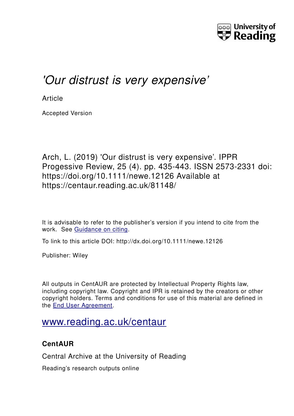

# *'Our distrust is very expensive'*

**Article** 

Accepted Version

Arch, L. (2019) 'Our distrust is very expensive'. IPPR Progessive Review, 25 (4). pp. 435-443. ISSN 2573-2331 doi: https://doi.org/10.1111/newe.12126 Available at https://centaur.reading.ac.uk/81148/

It is advisable to refer to the publisher's version if you intend to cite from the work. See [Guidance on citing.](http://centaur.reading.ac.uk/71187/10/CentAUR%20citing%20guide.pdf)

To link to this article DOI: http://dx.doi.org/10.1111/newe.12126

Publisher: Wiley

All outputs in CentAUR are protected by Intellectual Property Rights law, including copyright law. Copyright and IPR is retained by the creators or other copyright holders. Terms and conditions for use of this material are defined in the [End User Agreement.](http://centaur.reading.ac.uk/licence)

## [www.reading.ac.uk/centaur](http://www.reading.ac.uk/centaur)

### **CentAUR**

Central Archive at the University of Reading

Reading's research outputs online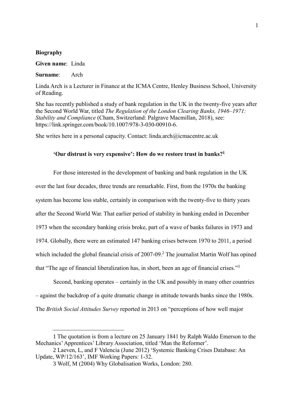#### **Biography**

**Given name**: Linda

#### **Surname**: Arch

 $\overline{a}$ 

Linda Arch is a Lecturer in Finance at the ICMA Centre, Henley Business School, University of Reading.

She has recently published a study of bank regulation in the UK in the twenty-five years after the Second World War, titled *The Regulation of the London Clearing Banks, 1946–1971: Stability and Compliance* (Cham, Switzerland: Palgrave Macmillan, 2018), see: https://link.springer.com/book/10.1007/978-3-030-00910-6.

She writes here in a personal capacity. Contact: linda.arch@icmacentre.ac.uk

#### **'Our distrust is very expensive': How do we restore trust in banks? 1**

For those interested in the development of banking and bank regulation in the UK over the last four decades, three trends are remarkable. First, from the 1970s the banking system has become less stable, certainly in comparison with the twenty-five to thirty years after the Second World War. That earlier period of stability in banking ended in December 1973 when the secondary banking crisis broke, part of a wave of banks failures in 1973 and 1974. Globally, there were an estimated 147 banking crises between 1970 to 2011, a period which included the global financial crisis of 2007-09.<sup>2</sup> The journalist Martin Wolf has opined that "The age of financial liberalization has, in short, been an age of financial crises."<sup>3</sup>

Second, banking operates – certainly in the UK and possibly in many other countries – against the backdrop of a quite dramatic change in attitude towards banks since the 1980s. The *British Social Attitudes Survey* reported in 2013 on "perceptions of how well major

<sup>1</sup> The quotation is from a lecture on 25 January 1841 by Ralph Waldo Emerson to the Mechanics' Apprentices' Library Association, titled 'Man the Reformer'.

<sup>2</sup> Laeven, L, and F Valencia (June 2012) 'Systemic Banking Crises Database: An Update, WP/12/163', IMF Working Papers: 1-32.

<sup>3</sup> Wolf, M (2004) Why Globalisation Works, London: 280.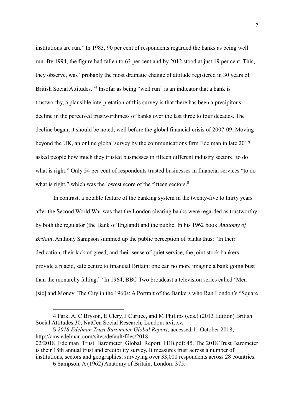institutions are run." In 1983, 90 per cent of respondents regarded the banks as being well run. By 1994, the figure had fallen to 63 per cent and by 2012 stood at just 19 per cent. This, they observe, was "probably the most dramatic change of attitude registered in 30 years of British Social Attitudes."<sup>4</sup> Insofar as being "well run" is an indicator that a bank is trustworthy, a plausible interpretation of this survey is that there has been a precipitous decline in the perceived trustworthiness of banks over the last three to four decades. The decline began, it should be noted, well before the global financial crisis of 2007-09. Moving beyond the UK, an online global survey by the communications firm Edelman in late 2017 asked people how much they trusted businesses in fifteen different industry sectors "to do what is right." Only 54 per cent of respondents trusted businesses in financial services "to do what is right," which was the lowest score of the fifteen sectors.<sup>5</sup>

In contrast, a notable feature of the banking system in the twenty-five to thirty years after the Second World War was that the London clearing banks were regarded as trustworthy by both the regulator (the Bank of England) and the public. In his 1962 book *Anatomy of Britain*, Anthony Sampson summed up the public perception of banks thus: "In their dedication, their lack of greed, and their sense of quiet service, the joint stock bankers provide a placid, safe centre to financial Britain: one can no more imagine a bank going bust than the monarchy falling."<sup>6</sup> In 1964, BBC Two broadcast a television series called 'Men [sic] and Money: The City in the 1960s: A Portrait of the Bankers who Ran London's "Square

<sup>4</sup> Park, A, C Bryson, E Clery, J Curtice, and M Phillips (eds.) (2013 Edition) British Social Attitudes 30, NatCen Social Research, London: xvi, xv.

<sup>5</sup> *2018 Edelman Trust Barometer Global Report*, accessed 11 October 2018, http://cms.edelman.com/sites/default/files/2018-

<sup>02/2018</sup> Edelman Trust Barometer Global Report FEB.pdf: 45. The 2018 Trust Barometer is their 18th annual trust and credibility survey. It measures trust across a number of institutions, sectors and geographies, surveying over 33,000 respondents across 28 countries.

<sup>6</sup> Sampson, A (1962) Anatomy of Britain, London: 375.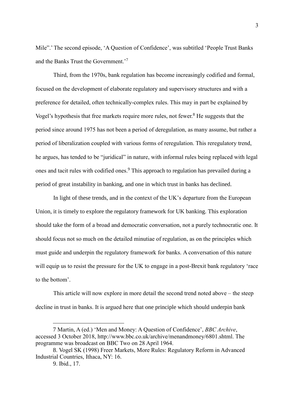Mile".' The second episode, 'A Question of Confidence', was subtitled 'People Trust Banks and the Banks Trust the Government.'<sup>7</sup>

Third, from the 1970s, bank regulation has become increasingly codified and formal, focused on the development of elaborate regulatory and supervisory structures and with a preference for detailed, often technically-complex rules. This may in part be explained by Vogel's hypothesis that free markets require more rules, not fewer.<sup>8</sup> He suggests that the period since around 1975 has not been a period of deregulation, as many assume, but rather a period of liberalization coupled with various forms of reregulation. This reregulatory trend, he argues, has tended to be "juridical" in nature, with informal rules being replaced with legal ones and tacit rules with codified ones.<sup>9</sup> This approach to regulation has prevailed during a period of great instability in banking, and one in which trust in banks has declined.

In light of these trends, and in the context of the UK's departure from the European Union, it is timely to explore the regulatory framework for UK banking. This exploration should take the form of a broad and democratic conversation, not a purely technocratic one. It should focus not so much on the detailed minutiae of regulation, as on the principles which must guide and underpin the regulatory framework for banks. A conversation of this nature will equip us to resist the pressure for the UK to engage in a post-Brexit bank regulatory 'race to the bottom'.

This article will now explore in more detail the second trend noted above – the steep decline in trust in banks. It is argued here that one principle which should underpin bank

<sup>7</sup> Martin, A (ed.) 'Men and Money: A Question of Confidence', *BBC Archive*, accessed 3 October 2018, http://www.bbc.co.uk/archive/menandmoney/6801.shtml. The programme was broadcast on BBC Two on 28 April 1964.

<sup>8.</sup> Vogel SK (1998) Freer Markets, More Rules: Regulatory Reform in Advanced Industrial Countries, Ithaca, NY: 16.

<sup>9.</sup> Ibid., 17.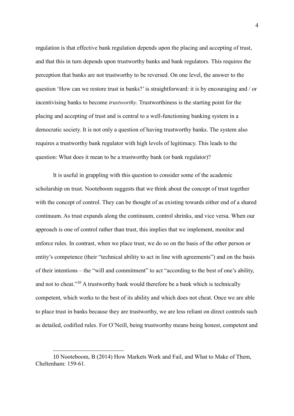regulation is that effective bank regulation depends upon the placing and accepting of trust, and that this in turn depends upon trustworthy banks and bank regulators. This requires the perception that banks are not trustworthy to be reversed. On one level, the answer to the question 'How can we restore trust in banks?' is straightforward: it is by encouraging and / or incentivising banks to become *trustworthy*. Trustworthiness is the starting point for the placing and accepting of trust and is central to a well-functioning banking system in a democratic society. It is not only a question of having trustworthy banks. The system also requires a trustworthy bank regulator with high levels of legitimacy. This leads to the question: What does it mean to be a trustworthy bank (or bank regulator)?

It is useful in grappling with this question to consider some of the academic scholarship on trust. Nooteboom suggests that we think about the concept of trust together with the concept of control. They can be thought of as existing towards either end of a shared continuum. As trust expands along the continuum, control shrinks, and vice versa. When our approach is one of control rather than trust, this implies that we implement, monitor and enforce rules. In contrast, when we place trust, we do so on the basis of the other person or entity's competence (their "technical ability to act in line with agreements") and on the basis of their intentions – the "will and commitment" to act "according to the best of one's ability, and not to cheat."<sup>10</sup> A trustworthy bank would therefore be a bank which is technically competent, which works to the best of its ability and which does not cheat. Once we are able to place trust in banks because they are trustworthy, we are less reliant on direct controls such as detailed, codified rules. For O'Neill, being trustworthy means being honest, competent and

<sup>10</sup> Nooteboom, B (2014) How Markets Work and Fail, and What to Make of Them, Cheltenham: 159-61.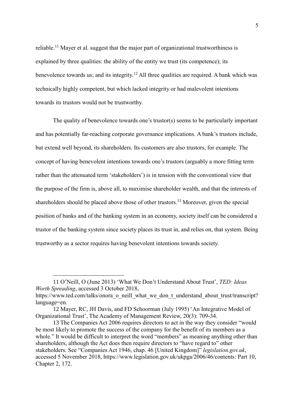reliable.<sup>11</sup> Mayer et al. suggest that the major part of organizational trustworthiness is explained by three qualities: the ability of the entity we trust (its competence); its benevolence towards us; and its integrity.<sup>12</sup> All three qualities are required. A bank which was technically highly competent, but which lacked integrity or had malevolent intentions towards its trustors would not be trustworthy.

The quality of benevolence towards one's trustor(s) seems to be particularly important and has potentially far-reaching corporate governance implications. A bank's trustors include, but extend well beyond, its shareholders. Its customers are also trustors, for example. The concept of having benevolent intentions towards one's trustors (arguably a more fitting term rather than the attenuated term 'stakeholders') is in tension with the conventional view that the purpose of the firm is, above all, to maximise shareholder wealth, and that the interests of shareholders should be placed above those of other trustors. <sup>13</sup> Moreover, given the special position of banks and of the banking system in an economy, society itself can be considered a trustor of the banking system since society places its trust in, and relies on, that system. Being trustworthy as a sector requires having benevolent intentions towards society.

<sup>11</sup> O'Neill, O (June 2013) 'What We Don't Understand About Trust', *TED: Ideas Worth Spreading*, accessed 3 October 2018,

https://www.ted.com/talks/onora\_o\_neill\_what\_we\_don\_t\_understand\_about\_trust/transcript? language=en.

<sup>12</sup> Mayer, RC, JH Davis, and FD Schoorman (July 1995) 'An Integrative Model of Organizational Trust', The Academy of Management Review, 20(3): 709-34.

<sup>13</sup> The Companies Act 2006 requires directors to act in the way they consider "would be most likely to promote the success of the company for the benefit of its members as a whole." It would be difficult to interpret the word "members" as meaning anything other than shareholders, although the Act does then require directors to "have regard to" other stakeholders. See "Companies Act 1946, chap. 46 [United Kingdom]" *legislation.gov.uk*, accessed 5 November 2018, https://www.legislation.gov.uk/ukpga/2006/46/contents: Part 10, Chapter 2, 172.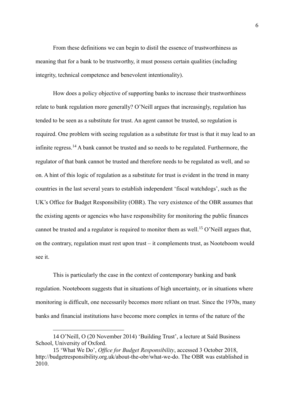From these definitions we can begin to distil the essence of trustworthiness as meaning that for a bank to be trustworthy, it must possess certain qualities (including integrity, technical competence and benevolent intentionality).

How does a policy objective of supporting banks to increase their trustworthiness relate to bank regulation more generally? O'Neill argues that increasingly, regulation has tended to be seen as a substitute for trust. An agent cannot be trusted, so regulation is required. One problem with seeing regulation as a substitute for trust is that it may lead to an infinite regress.<sup>14</sup> A bank cannot be trusted and so needs to be regulated. Furthermore, the regulator of that bank cannot be trusted and therefore needs to be regulated as well, and so on. A hint of this logic of regulation as a substitute for trust is evident in the trend in many countries in the last several years to establish independent 'fiscal watchdogs', such as the UK's Office for Budget Responsibility (OBR). The very existence of the OBR assumes that the existing agents or agencies who have responsibility for monitoring the public finances cannot be trusted and a regulator is required to monitor them as well.<sup>15</sup> O'Neill argues that, on the contrary, regulation must rest upon trust – it complements trust, as Nooteboom would see it.

This is particularly the case in the context of contemporary banking and bank regulation. Nooteboom suggests that in situations of high uncertainty, or in situations where monitoring is difficult, one necessarily becomes more reliant on trust. Since the 1970s, many banks and financial institutions have become more complex in terms of the nature of the

<sup>14</sup> O'Neill, O (20 November 2014) 'Building Trust', a lecture at Saïd Business School, University of Oxford.

<sup>15</sup> 'What We Do', *Office for Budget Responsibility*, accessed 3 October 2018, http://budgetresponsibility.org.uk/about-the-obr/what-we-do. The OBR was established in 2010.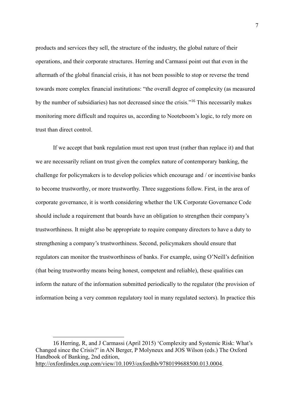products and services they sell, the structure of the industry, the global nature of their operations, and their corporate structures. Herring and Carmassi point out that even in the aftermath of the global financial crisis, it has not been possible to stop or reverse the trend towards more complex financial institutions: "the overall degree of complexity (as measured by the number of subsidiaries) has not decreased since the crisis."<sup>16</sup> This necessarily makes monitoring more difficult and requires us, according to Nooteboom's logic, to rely more on trust than direct control.

If we accept that bank regulation must rest upon trust (rather than replace it) and that we are necessarily reliant on trust given the complex nature of contemporary banking, the challenge for policymakers is to develop policies which encourage and / or incentivise banks to become trustworthy, or more trustworthy. Three suggestions follow. First, in the area of corporate governance, it is worth considering whether the UK Corporate Governance Code should include a requirement that boards have an obligation to strengthen their company's trustworthiness. It might also be appropriate to require company directors to have a duty to strengthening a company's trustworthiness. Second, policymakers should ensure that regulators can monitor the trustworthiness of banks. For example, using O'Neill's definition (that being trustworthy means being honest, competent and reliable), these qualities can inform the nature of the information submitted periodically to the regulator (the provision of information being a very common regulatory tool in many regulated sectors). In practice this

<sup>16</sup> Herring, R, and J Carmassi (April 2015) 'Complexity and Systemic Risk: What's Changed since the Crisis?' in AN Berger, P Molyneux and JOS Wilson (eds.) The Oxford Handbook of Banking, 2nd edition, http://oxfordindex.oup.com/view/10.1093/oxfordhb/9780199688500.013.0004.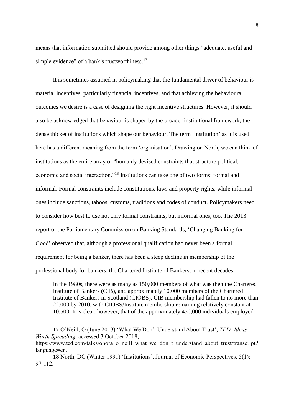means that information submitted should provide among other things "adequate, useful and simple evidence" of a bank's trustworthiness.<sup>17</sup>

It is sometimes assumed in policymaking that the fundamental driver of behaviour is material incentives, particularly financial incentives, and that achieving the behavioural outcomes we desire is a case of designing the right incentive structures. However, it should also be acknowledged that behaviour is shaped by the broader institutional framework, the dense thicket of institutions which shape our behaviour. The term 'institution' as it is used here has a different meaning from the term 'organisation'. Drawing on North, we can think of institutions as the entire array of "humanly devised constraints that structure political, economic and social interaction."<sup>18</sup> Institutions can take one of two forms: formal and informal. Formal constraints include constitutions, laws and property rights, while informal ones include sanctions, taboos, customs, traditions and codes of conduct. Policymakers need to consider how best to use not only formal constraints, but informal ones, too. The 2013 report of the Parliamentary Commission on Banking Standards, 'Changing Banking for Good' observed that, although a professional qualification had never been a formal requirement for being a banker, there has been a steep decline in membership of the professional body for bankers, the Chartered Institute of Bankers, in recent decades:

In the 1980s, there were as many as 150,000 members of what was then the Chartered Institute of Bankers (CIB), and approximately 10,000 members of the Chartered Institute of Bankers in Scotland (CIOBS). CIB membership had fallen to no more than 22,000 by 2010, with CIOBS/Institute membership remaining relatively constant at 10,500. It is clear, however, that of the approximately 450,000 individuals employed

<sup>17</sup> O'Neill, O (June 2013) 'What We Don't Understand About Trust', *TED: Ideas Worth Spreading*, accessed 3 October 2018,

https://www.ted.com/talks/onora\_o\_neill\_what\_we\_don\_t\_understand\_about\_trust/transcript? language=en.

<sup>18</sup> North, DC (Winter 1991) 'Institutions', Journal of Economic Perspectives, 5(1): 97-112.